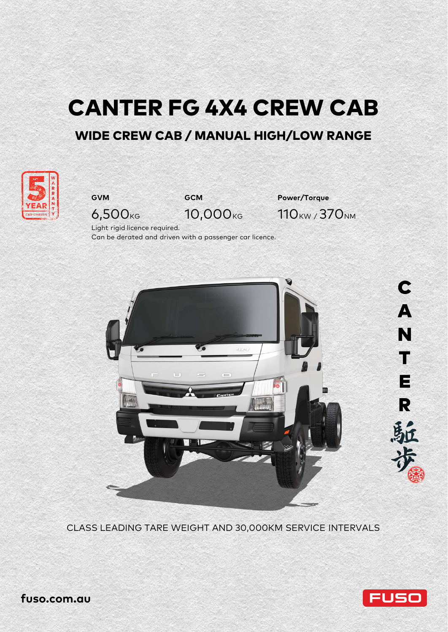# CANTER FG 4X4 CREW CAB

# WIDE CREW CAB / MANUAL HIGH/LOW RANGE





**GVM GCM Power/Torque** 6,500<sub>KG</sub> 10,000<sub>KG</sub> 110<sub>KW</sub>/370<sub>NM</sub>

Light rigid licence required. Can be derated and driven with a passenger car licence.



CLASS LEADING TARE WEIGHT AND 30,000KM SERVICE INTERVALS



**fuso.com.au**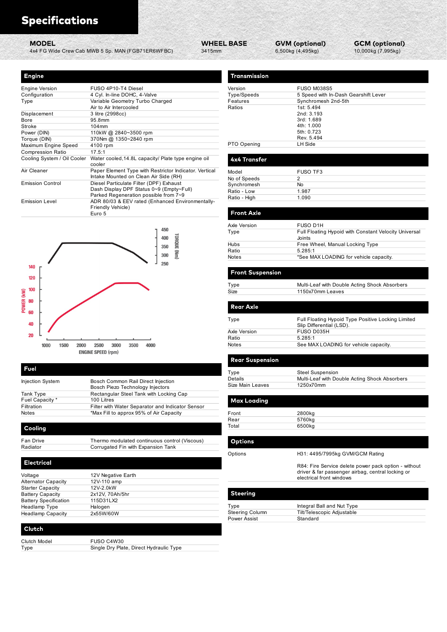| <b>WHEEL BASE</b> |  |
|-------------------|--|
| 3415mm            |  |

| <b>Specifications</b>       |                                                                                                 |                             |                    |                                            |
|-----------------------------|-------------------------------------------------------------------------------------------------|-----------------------------|--------------------|--------------------------------------------|
| <b>MODEL</b>                | 4x4 FG Wide Crew Cab MWB 5 Sp. MAN (FGB71ER6WFBC)                                               | <b>WHEEL BASE</b><br>3415mm |                    | <b>GVM (optional)</b><br>6,500kg (4,495kg) |
|                             |                                                                                                 |                             |                    |                                            |
| <b>Engine</b>               |                                                                                                 |                             | Transmission       |                                            |
| <b>Engine Version</b>       | FUSO 4P10-T4 Diesel                                                                             |                             | Version            | <b>FUSO M038S5</b>                         |
| Configuration               | 4 Cyl. In-line DOHC, 4-Valve                                                                    |                             | Type/Speeds        | 5 Speed with In-Dash G                     |
| Type                        | Variable Geometry Turbo Charged<br>Air to Air Intercooled                                       |                             | Features<br>Ratios | Synchromesh 2nd-5th<br>1st: 5.494          |
| Displacement                | 3 litre (2998cc)                                                                                |                             |                    | 2nd: 3.193                                 |
| Bore                        | 95.8mm                                                                                          |                             |                    | 3rd: 1.689                                 |
| Stroke                      | 104mm                                                                                           |                             |                    | 4th: 1.000                                 |
| Power (DIN)                 | 110kW @ 2840~3500 rpm                                                                           |                             |                    | 5th: 0.723                                 |
| Torque (DIN)                | 370Nm @ 1350~2840 rpm                                                                           |                             |                    | Rev. 5.494                                 |
| Maximum Engine Speed        | 4100 rpm                                                                                        |                             | PTO Opening        | LH Side                                    |
| <b>Compression Ratio</b>    | 17.5:1                                                                                          |                             |                    |                                            |
| Cooling System / Oil Cooler | Water cooled, 14.8L capacity/ Plate type engine oil<br>cooler                                   |                             | 4x4 Transfer       |                                            |
| Air Cleaner                 | Paper Element Type with Restrictor Indicator. Vertical<br>Intake Mounted on Clean Air Side (RH) |                             | Model              | FUSO TF3                                   |
| <b>Emission Control</b>     | Diesel Particulate Filter (DPF) Exhaust                                                         |                             | No of Speeds       | $\overline{2}$                             |
|                             | Dash Display DPF Status 0~9 (Empty~Full)                                                        |                             | Synchromesh        | No                                         |
|                             | Parked Regeneration possible from 7~9                                                           |                             | Ratio - Low        | 1.987                                      |
| <b>Emission Level</b>       | ADR 80/03 & EEV rated (Enhanced Environmentally-<br>Friendly Vehicle)                           |                             | Ratio - High       | 1.090                                      |
|                             | Euro 5                                                                                          |                             | <b>Front Axle</b>  |                                            |
|                             |                                                                                                 |                             |                    |                                            |
|                             | 450                                                                                             |                             | Axle Version       | FUSO D1H                                   |
|                             | TOROUE<br>400                                                                                   |                             | Type               | Full Floating Hypoid with<br>Joints        |
|                             |                                                                                                 |                             |                    |                                            |
|                             | 350                                                                                             |                             | Hubs               | Free Wheel, Manual Lo                      |



| Voltage                      | 12V Negative Earth |
|------------------------------|--------------------|
| <b>Alternator Capacity</b>   | 12V-110 amp        |
| <b>Starter Capacity</b>      | 12V-2.0kW          |
| <b>Battery Capacity</b>      | 2x12V, 70Ah/5hr    |
| <b>Battery Specification</b> | 115D31LX2          |
| Headlamp Type                | Halogen            |
| <b>Headlamp Capacity</b>     | 2x55W/60W          |

| Clutch Model | FUSO C4W30                              |
|--------------|-----------------------------------------|
| Type         | Single Dry Plate, Direct Hydraulic Type |

| <b>Engine</b>                                         |                                                                                           | Transmission                           |                                                                                |
|-------------------------------------------------------|-------------------------------------------------------------------------------------------|----------------------------------------|--------------------------------------------------------------------------------|
| <b>Engine Version</b>                                 | FUSO 4P10-T4 Diesel                                                                       | Version                                | <b>FUSO M038S5</b>                                                             |
| Configuration<br>Type                                 | 4 Cyl. In-line DOHC, 4-Valve<br>Variable Geometry Turbo Charged                           | Type/Speeds<br>Features                | 5 Speed with In-Dash Gearshift Lever<br>Synchromesh 2nd-5th                    |
| Displacement                                          | Air to Air Intercooled<br>3 litre (2998cc)                                                | Ratios                                 | 1st: 5.494<br>2nd: 3.193                                                       |
| Bore<br>Stroke                                        | 95.8mm<br>104mm                                                                           |                                        | 3rd: 1.689<br>4th: 1.000                                                       |
| Power (DIN)<br>Torque (DIN)                           | 110kW @ 2840~3500 rpm<br>370Nm @ 1350~2840 rpm                                            |                                        | 5th: 0.723<br>Rev. 5.494                                                       |
| Maximum Engine Speed<br>Compression Ratio             | 4100 rpm<br>17.5:1                                                                        | PTO Opening                            | LH Side                                                                        |
|                                                       | Cooling System / Oil Cooler Water cooled, 14.8L capacity/ Plate type engine oil<br>cooler | 4x4 Transfer                           |                                                                                |
| Air Cleaner                                           | Paper Element Type with Restrictor Indicator. Vertical                                    | Model                                  | FUSO TF3                                                                       |
| <b>Emission Control</b>                               | Intake Mounted on Clean Air Side (RH)<br>Diesel Particulate Filter (DPF) Exhaust          | No of Speeds<br>Synchromesh            | $\overline{2}$<br>No                                                           |
|                                                       | Dash Display DPF Status 0~9 (Empty~Full)<br>Parked Regeneration possible from 7~9         | Ratio - Low<br>Ratio - High            | 1.987<br>1.090                                                                 |
| <b>Emission Level</b>                                 | ADR 80/03 & EEV rated (Enhanced Environmentally-<br>Friendly Vehicle)                     |                                        |                                                                                |
|                                                       | Euro 5                                                                                    | <b>Front Axle</b>                      |                                                                                |
|                                                       | 450                                                                                       | Axle Version<br>Type                   | FUSO D1H<br>Full Floating Hypoid with Constant Velocity Universal              |
|                                                       | TORQUE (Nm)<br>400<br>350                                                                 | Hubs                                   | Joints<br>Free Wheel, Manual Locking Type                                      |
|                                                       | 300                                                                                       | Ratio<br>Notes                         | 5.285:1<br>*See MAX LOADING for vehicle capacity.                              |
| 140                                                   | 250                                                                                       |                                        |                                                                                |
| 120                                                   |                                                                                           | <b>Front Suspension</b>                |                                                                                |
| 100                                                   |                                                                                           | Type<br>Size                           | Multi-Leaf with Double Acting Shock Absorbers<br>1150x70mm Leaves              |
| POWER (100                                            |                                                                                           |                                        |                                                                                |
| 60                                                    |                                                                                           | <b>Rear Axle</b>                       |                                                                                |
| 40                                                    |                                                                                           | Type                                   | Full Floating Hypoid Type Positive Locking Limited<br>Slip Differential (LSD). |
| 20                                                    |                                                                                           | Axle Version<br>Ratio                  | FUSO D035H<br>5.285:1                                                          |
| 1500<br>2000<br>1000                                  | 2500<br>3000<br>3500<br>4000                                                              | Notes                                  | See MAX LOADING for vehicle capacity.                                          |
|                                                       | <b>ENGINE SPEED (rpm)</b>                                                                 | <b>Rear Suspension</b>                 |                                                                                |
| Fuel                                                  |                                                                                           | Type                                   | <b>Steel Suspension</b>                                                        |
| Injection System                                      | Bosch Common Rail Direct Injection                                                        | Details<br>Size Main Leaves            | Multi-Leaf with Double Acting Shock Absorbers<br>1250x70mm                     |
| Tank Type                                             | Bosch Piezo Technology Injectors<br>Rectangular Steel Tank with Locking Cap               |                                        |                                                                                |
| Fuel Capacity *<br>Filtration                         | 100 Litres<br>Filter with Water Separator and Indicator Sensor                            | <b>Max Loading</b>                     |                                                                                |
| Notes                                                 | *Max Fill to approx 95% of Air Capacity                                                   | Front<br>Rear                          | 2800kg<br>5760kg                                                               |
| Cooling                                               |                                                                                           | Total                                  | 6500kg                                                                         |
| Fan Drive                                             | Thermo modulated continuous control (Viscous)                                             | <b>Options</b>                         |                                                                                |
| Radiator                                              | Corrugated Fin with Expansion Tank                                                        | Options                                | H31: 4495/7995kg GVM/GCM Rating                                                |
| <b>Electrical</b>                                     |                                                                                           |                                        | R84: Fire Service delete power pack option - without                           |
| Voltage                                               | 12V Negative Earth                                                                        |                                        | driver & far passenger airbag, central locking or                              |
| <b>Alternator Capacity</b><br><b>Starter Capacity</b> | 12V-110 amp<br>12V-2.0kW                                                                  |                                        | electrical front windows                                                       |
| <b>Battery Capacity</b>                               | 2x12V, 70Ah/5hr                                                                           | <b>Steering</b>                        |                                                                                |
| <b>Battery Specification</b><br>Headlamp Type         | 115D31LX2<br>Halogen                                                                      | Type                                   | Integral Ball and Nut Type                                                     |
| <b>Headlamp Capacity</b>                              | 2x55W/60W                                                                                 | <b>Steering Column</b><br>Power Assist | Tilt/Telescopic Adjustable<br>Standard                                         |
|                                                       |                                                                                           |                                        |                                                                                |
| Clutch                                                |                                                                                           |                                        |                                                                                |
| Clutch Model                                          | FUSO C4W30                                                                                |                                        |                                                                                |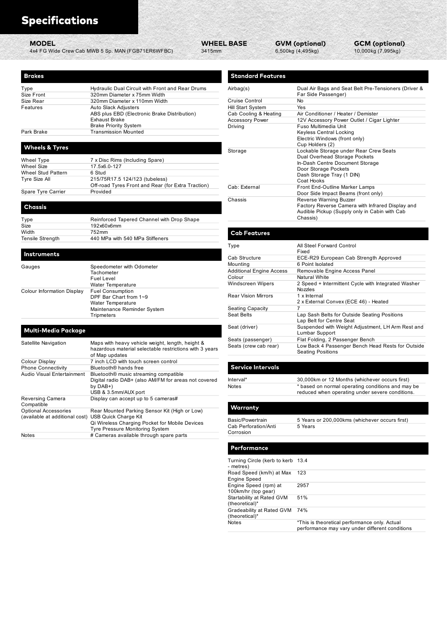| <b>Specifications</b><br><b>MODEL</b>                         |                                                                                                             | <b>WHEEL BASE</b> |                                                 | <b>GVM (optional)</b>                                       | GC   |
|---------------------------------------------------------------|-------------------------------------------------------------------------------------------------------------|-------------------|-------------------------------------------------|-------------------------------------------------------------|------|
|                                                               | 4x4 FG Wide Crew Cab MWB 5 Sp. MAN (FGB71ER6WFBC)                                                           | 3415mm            |                                                 | 6,500kg (4,495kg)                                           | 10,0 |
|                                                               |                                                                                                             |                   |                                                 |                                                             |      |
| <b>Brakes</b>                                                 |                                                                                                             |                   | <b>Standard Features</b>                        |                                                             |      |
| Type                                                          | Hydraulic Dual Circuit with Front and Rear Drums                                                            |                   | Airbag(s)                                       | Dual Air Bags and Seat Belt                                 |      |
| Size Front<br>Size Rear                                       | 320mm Diameter x 75mm Width<br>320mm Diameter x 110mm Width                                                 |                   | Cruise Control                                  | Far Side Passenger)<br>No                                   |      |
| Features                                                      | Auto Slack Adjusters                                                                                        |                   | Hill Start System                               | Yes                                                         |      |
|                                                               | ABS plus EBD (Electronic Brake Distribution)<br>Exhaust Brake                                               |                   | Cab Cooling & Heating<br><b>Accessory Power</b> | Air Conditioner / Heater / De<br>12V Accessory Power Outlet |      |
|                                                               | <b>Brake Priority System</b>                                                                                |                   | Driving                                         | Fuso Multimedia Unit                                        |      |
| Park Brake                                                    | <b>Transmission Mounted</b>                                                                                 |                   |                                                 | Keyless Central Locking<br>Electric Windows (front only)    |      |
| <b>Wheels &amp; Tyres</b>                                     |                                                                                                             |                   |                                                 | Cup Holders (2)                                             |      |
|                                                               |                                                                                                             |                   | Storage                                         | Lockable Storage under Rea<br>Dual Overhead Storage Poc     |      |
| Wheel Type<br>Wheel Size                                      | 7 x Disc Rims (Including Spare)<br>17.5x6.0-127                                                             |                   |                                                 | In-Dash Centre Document S                                   |      |
| <b>Wheel Stud Pattern</b>                                     | 6 Stud                                                                                                      |                   |                                                 | Door Storage Pockets<br>Dash Storage Tray (1 DIN)           |      |
| Tyre Size All                                                 | 215/75R17.5 124/123 (tubeless)<br>Off-road Tyres Front and Rear (for Extra Traction)                        |                   | Cab: External                                   | Coat Hooks<br>Front End-Outline Marker La                   |      |
| Spare Tyre Carrier                                            | Provided                                                                                                    |                   |                                                 | Door Side Impact Beams (fro                                 |      |
|                                                               |                                                                                                             |                   | Chassis                                         | Reverse Warning Buzzer<br>Factory Reverse Camera wit        |      |
| Chassis                                                       |                                                                                                             |                   |                                                 | Audible Pickup (Supply only                                 |      |
| Type<br>Size                                                  | Reinforced Tapered Channel with Drop Shape                                                                  |                   |                                                 | Chassis)                                                    |      |
| Width                                                         | 192x60x6mm<br>752mm                                                                                         |                   | <b>Cab Features</b>                             |                                                             |      |
| <b>Tensile Strength</b>                                       | 440 MPa with 540 MPa Stiffeners                                                                             |                   |                                                 |                                                             |      |
| Instruments                                                   |                                                                                                             |                   | Type                                            | All Steel Forward Control<br>Fixed                          |      |
|                                                               |                                                                                                             |                   | Cab Structure                                   | ECE-R29 European Cab Str<br>6 Point Isolated                |      |
| Gauges                                                        | Speedometer with Odometer<br>Tachometer                                                                     |                   | Mounting<br><b>Additional Engine Access</b>     | Removable Engine Access F                                   |      |
|                                                               | <b>Fuel Level</b>                                                                                           |                   | Colour                                          | <b>Natural White</b>                                        |      |
| Colour Information Display                                    | Water Temperature<br><b>Fuel Consumption</b>                                                                |                   | <b>Windscreen Wipers</b>                        | 2 Speed + Intermittent Cycle<br>Nozzles                     |      |
|                                                               | DPF Bar Chart from 1~9                                                                                      |                   | <b>Rear Vision Mirrors</b>                      | 1 x Internal<br>2 x External Convex (ECE 46                 |      |
|                                                               | <b>Water Temperature</b><br>Maintenance Reminder System                                                     |                   | <b>Seating Capacity</b>                         | 7                                                           |      |
|                                                               | Tripmeters                                                                                                  |                   | Seat Belts                                      | Lap Sash Belts for Outside S<br>Lap Belt for Centre Seat    |      |
| <b>Multi-Media Package</b>                                    |                                                                                                             |                   | Seat (driver)                                   | Suspended with Weight Adju                                  |      |
|                                                               |                                                                                                             |                   | Seats (passenger)                               | Lumbar Support<br>Flat Folding, 2 Passenger Be              |      |
| Satellite Navigation                                          | Maps with heavy vehicle weight, length, height &<br>hazardous material selectable restrictions with 3 years |                   | Seats (crew cab rear)                           | Low Back 4 Passenger Bend                                   |      |
|                                                               | of Map updates                                                                                              |                   |                                                 | <b>Seating Positions</b>                                    |      |
| Colour Display<br><b>Phone Connectivity</b>                   | 7 inch LCD with touch screen control<br>Bluetooth <sup>®</sup> hands free                                   |                   | <b>Service Intervals</b>                        |                                                             |      |
| Audio Visual Entertainment                                    | Bluetooth <sup>®</sup> music streaming compatible                                                           |                   | Interval*                                       | 30,000km or 12 Months (whi                                  |      |
|                                                               | Digital radio DAB+ (also AM/FM for areas not covered<br>by $DAB+$                                           |                   | <b>Notes</b>                                    | * based on normal operating                                 |      |
| Reversing Camera                                              | USB & 3.5mm/AUX port<br>Display can accept up to 5 cameras#                                                 |                   |                                                 | reduced when operating und                                  |      |
| Compatible                                                    |                                                                                                             |                   | Warranty                                        |                                                             |      |
| <b>Optional Accessories</b><br>(available at additional cost) | Rear Mounted Parking Sensor Kit (High or Low)<br>USB Quick Charge Kit                                       |                   |                                                 |                                                             |      |
|                                                               | Qi Wireless Charging Pocket for Mobile Devices                                                              |                   | <b>Basic/Powertrain</b><br>Cab Perforation/Anti | 5 Years or 200,000kms (whio<br>5 Years                      |      |
| Notes                                                         | Tyre Pressure Monitoring System<br># Cameras available through spare parts                                  |                   | Corrosion                                       |                                                             |      |
|                                                               |                                                                                                             |                   |                                                 |                                                             |      |
|                                                               |                                                                                                             |                   | Performance                                     |                                                             |      |
|                                                               |                                                                                                             |                   | Turning Circle (kerb to kerb 13.4               |                                                             |      |
|                                                               |                                                                                                             |                   | - metres)<br>Road Speed (km/h) at Max 123       |                                                             |      |
|                                                               |                                                                                                             |                   | <b>Engine Speed</b>                             |                                                             |      |

| pecifications<br>MODEL                  |                                                                                      | <b>WHEEL BASE</b>                           | <b>GVM (optional)</b>                   | <b>GCM (optional)</b>                                                 |
|-----------------------------------------|--------------------------------------------------------------------------------------|---------------------------------------------|-----------------------------------------|-----------------------------------------------------------------------|
|                                         | 4x4 FG Wide Crew Cab MWB 5 Sp. MAN (FGB71ER6WFBC)<br>3415mm                          |                                             | 6,500kg (4,495kg)                       | 10,000kg (7,995kg)                                                    |
|                                         |                                                                                      | <b>Standard Features</b>                    |                                         |                                                                       |
| akes <sup>.</sup>                       |                                                                                      |                                             |                                         |                                                                       |
| е                                       | Hydraulic Dual Circuit with Front and Rear Drums                                     | Airbag(s)                                   |                                         | Dual Air Bags and Seat Belt Pre-Tensioners (Driver &                  |
| Front                                   | 320mm Diameter x 75mm Width                                                          |                                             | Far Side Passenger)                     |                                                                       |
| : Rear                                  | 320mm Diameter x 110mm Width                                                         | Cruise Control<br>Hill Start System         | No<br>Yes                               |                                                                       |
| itures                                  | Auto Slack Adjusters<br>ABS plus EBD (Electronic Brake Distribution)                 | Cab Cooling & Heating                       |                                         | Air Conditioner / Heater / Demister                                   |
|                                         | <b>Exhaust Brake</b>                                                                 | <b>Accessory Power</b>                      |                                         | 12V Accessory Power Outlet / Cigar Lighter                            |
| k Brake                                 | <b>Brake Priority System</b><br><b>Transmission Mounted</b>                          | Driving                                     | Fuso Multimedia Unit<br>Cup Holders (2) | Keyless Central Locking<br>Electric Windows (front only)              |
| heels & Tyres                           |                                                                                      | Storage                                     |                                         | Lockable Storage under Rear Crew Seats                                |
| eel Type                                | 7 x Disc Rims (Including Spare)                                                      |                                             |                                         | Dual Overhead Storage Pockets                                         |
| eel Size                                | 17.5x6.0-127                                                                         |                                             | Door Storage Pockets                    | In-Dash Centre Document Storage                                       |
| eel Stud Pattern                        | 6 Stud                                                                               |                                             |                                         | Dash Storage Tray (1 DIN)                                             |
| e Size All                              | 215/75R17.5 124/123 (tubeless)<br>Off-road Tyres Front and Rear (for Extra Traction) |                                             | Coat Hooks                              |                                                                       |
| re Tyre Carrier                         | Provided                                                                             | Cab: External                               |                                         | Front End-Outline Marker Lamps<br>Door Side Impact Beams (front only) |
|                                         |                                                                                      | Chassis                                     |                                         | Reverse Warning Buzzer                                                |
| nassis                                  |                                                                                      |                                             |                                         | Factory Reverse Camera with Infrared Display and                      |
|                                         |                                                                                      |                                             | Chassis)                                | Audible Pickup (Supply only in Cabin with Cab                         |
| e                                       | Reinforced Tapered Channel with Drop Shape                                           |                                             |                                         |                                                                       |
| th                                      | 192x60x6mm<br>752mm                                                                  | <b>Cab Features</b>                         |                                         |                                                                       |
| sile Strength                           | 440 MPa with 540 MPa Stiffeners                                                      |                                             |                                         |                                                                       |
|                                         |                                                                                      | Type                                        |                                         | All Steel Forward Control                                             |
| struments                               |                                                                                      |                                             | Fixed                                   |                                                                       |
|                                         |                                                                                      | Cab Structure                               |                                         | ECE-R29 European Cab Strength Approved                                |
| ıges                                    | Speedometer with Odometer                                                            | Mounting<br><b>Additional Engine Access</b> | 6 Point Isolated                        | Removable Engine Access Panel                                         |
|                                         | Tachometer<br><b>Fuel Level</b>                                                      | Colour                                      | Natural White                           |                                                                       |
|                                         | Water Temperature                                                                    | Windscreen Wipers                           |                                         | 2 Speed + Intermittent Cycle with Integrated Washer                   |
| our Information Display                 | <b>Fuel Consumption</b><br>DPF Bar Chart from 1~9                                    | <b>Rear Vision Mirrors</b>                  | Nozzles<br>1 x Internal                 | 2 x External Convex (ECE 46) - Heated                                 |
|                                         | Water Temperature<br>Maintenance Reminder System                                     | <b>Seating Capacity</b>                     | $\overline{7}$                          |                                                                       |
|                                         | Tripmeters                                                                           | Seat Belts                                  |                                         | Lap Sash Belts for Outside Seating Positions                          |
|                                         |                                                                                      |                                             |                                         | Lap Belt for Centre Seat                                              |
|                                         |                                                                                      | Seat (driver)                               |                                         | Suspended with Weight Adjustment, LH Arm Rest and                     |
|                                         |                                                                                      |                                             |                                         |                                                                       |
| ulti-Media Package<br>ellite Navigation | Mans with heavy vehicle weight length height &                                       | Seats (passenger)                           | Lumbar Support                          | Flat Folding, 2 Passenger Bench                                       |

| Cab Cooling & Heating                       | Air Conditioner / Heater / Demister                                                                  |
|---------------------------------------------|------------------------------------------------------------------------------------------------------|
| Accessory Power                             | 12V Accessory Power Outlet / Cigar Lighter                                                           |
| Driving                                     | Fuso Multimedia Unit                                                                                 |
|                                             | <b>Keyless Central Locking</b>                                                                       |
|                                             | Electric Windows (front only)                                                                        |
|                                             | Cup Holders (2)                                                                                      |
| Storage                                     | Lockable Storage under Rear Crew Seats                                                               |
|                                             | Dual Overhead Storage Pockets                                                                        |
|                                             | In-Dash Centre Document Storage                                                                      |
|                                             | Door Storage Pockets<br>Dash Storage Tray (1 DIN)                                                    |
|                                             | Coat Hooks                                                                                           |
| Cab: External                               | Front End-Outline Marker Lamps                                                                       |
|                                             | Door Side Impact Beams (front only)                                                                  |
| Chassis                                     | Reverse Warning Buzzer                                                                               |
|                                             | Factory Reverse Camera with Infrared Display and                                                     |
|                                             | Audible Pickup (Supply only in Cabin with Cab                                                        |
|                                             | Chassis)                                                                                             |
|                                             |                                                                                                      |
| <b>Cab Features</b>                         |                                                                                                      |
|                                             |                                                                                                      |
| Type                                        | All Steel Forward Control                                                                            |
|                                             | Fixed                                                                                                |
| Cab Structure                               | ECE-R29 European Cab Strength Approved<br>6 Point Isolated                                           |
| Mounting<br><b>Additional Engine Access</b> | Removable Engine Access Panel                                                                        |
| Colour                                      | <b>Natural White</b>                                                                                 |
| Windscreen Wipers                           | 2 Speed + Intermittent Cycle with Integrated Washer                                                  |
|                                             | Nozzles                                                                                              |
| <b>Rear Vision Mirrors</b>                  | 1 x Internal<br>2 x External Convex (ECE 46) - Heated                                                |
| Seating Capacity                            | 7                                                                                                    |
| Seat Belts                                  | Lap Sash Belts for Outside Seating Positions<br>Lap Belt for Centre Seat                             |
| Seat (driver)                               | Suspended with Weight Adjustment, LH Arm Rest and<br>Lumbar Support                                  |
| Seats (passenger)                           | Flat Folding, 2 Passenger Bench                                                                      |
| Seats (crew cab rear)                       | Low Back 4 Passenger Bench Head Rests for Outside                                                    |
|                                             | <b>Seating Positions</b>                                                                             |
|                                             |                                                                                                      |
| <b>Service Intervals</b>                    |                                                                                                      |
| Interval*                                   | 30,000km or 12 Months (whichever occurs first)                                                       |
| Notes                                       | * based on normal operating conditions and may be<br>reduced when operating under severe conditions. |
|                                             |                                                                                                      |
| Warranty                                    |                                                                                                      |
| <b>Basic/Powertrain</b>                     | 5 Years or 200,000kms (whichever occurs first)                                                       |
| Cab Perforation/Anti                        | 5 Years                                                                                              |
| Corrosion                                   |                                                                                                      |
|                                             |                                                                                                      |
| <u>Performance</u>                          |                                                                                                      |
| Turning Circle (kerb to kerb 13.4           |                                                                                                      |
| - metres)                                   |                                                                                                      |

## Optional Accessories Rear Mounted Parking Sensor Kit (High or Low)

|                                                 | Suspended with Weight Adjustment, LH Arm Rest and<br>Lumbar Support                                  |
|-------------------------------------------------|------------------------------------------------------------------------------------------------------|
| Seats (passenger)                               | Flat Folding, 2 Passenger Bench                                                                      |
| Seats (crew cab rear)                           | Low Back 4 Passenger Bench Head Rests for Outside<br><b>Seating Positions</b>                        |
| <b>Service Intervals</b>                        |                                                                                                      |
| Interval*                                       | 30,000km or 12 Months (whichever occurs first)                                                       |
| Notes                                           | * based on normal operating conditions and may be<br>reduced when operating under severe conditions. |
| Warranty                                        |                                                                                                      |
| Basic/Powertrain                                | 5 Years or 200,000kms (whichever occurs first)                                                       |
| Cab Perforation/Anti<br>Corrosion               | 5 Years                                                                                              |
| Performance                                     |                                                                                                      |
| Turning Circle (kerb to kerb 13.4<br>- metres)  |                                                                                                      |
| Road Speed (km/h) at Max<br><b>Engine Speed</b> | 123                                                                                                  |
| Engine Speed (rpm) at<br>100km/hr (top gear)    | 2957                                                                                                 |
| Startability at Rated GVM<br>(theoretical)*     | 51%                                                                                                  |
| Gradeability at Rated GVM                       | 74%                                                                                                  |
| (theoretical)*                                  | *This is theoretical performance only. Actual                                                        |